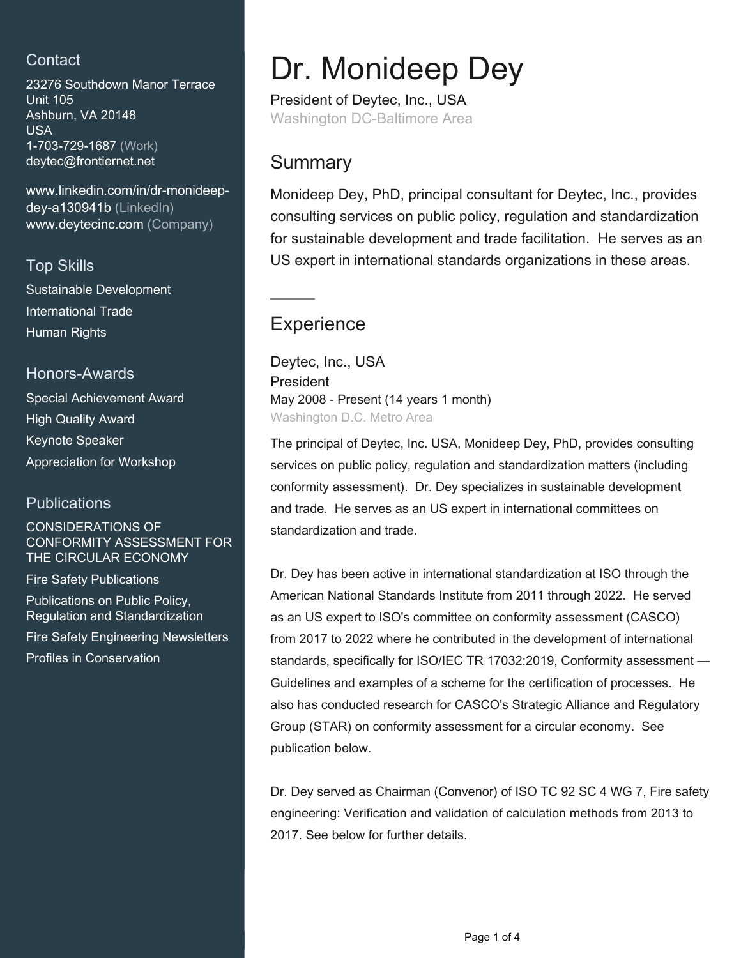## **Contact**

23276 Southdown Manor Terrace Unit 105 Ashburn, VA 20148 USA 1-703-729-1687 (Work) [deytec@frontiernet.net](mailto:deytec@frontiernet.net)

[www.linkedin.com/in/dr-monideep](https://www.linkedin.com/in/dr-monideep-dey-a130941b?jobid=1234&lipi=urn%3Ali%3Apage%3Ad_jobs_easyapply_pdfgenresume%3B6BoFaXQdRKOF4rSBhc%2B%2BiQ%3D%3D&licu=urn%3Ali%3Acontrol%3Ad_jobs_easyapply_pdfgenresume-v02_profile)[dey-a130941b \(LinkedIn\)](https://www.linkedin.com/in/dr-monideep-dey-a130941b?jobid=1234&lipi=urn%3Ali%3Apage%3Ad_jobs_easyapply_pdfgenresume%3B6BoFaXQdRKOF4rSBhc%2B%2BiQ%3D%3D&licu=urn%3Ali%3Acontrol%3Ad_jobs_easyapply_pdfgenresume-v02_profile) [www.deytecinc.com \(Company\)](http://www.deytecinc.com)

## Top Skills

Sustainable Development International Trade Human Rights

### Honors-Awards

Special Achievement Award High Quality Award Keynote Speaker Appreciation for Workshop

### **Publications**

#### CONSIDERATIONS OF CONFORMITY ASSESSMENT FOR THE CIRCULAR ECONOMY

Fire Safety Publications

Publications on Public Policy, Regulation and Standardization

Fire Safety Engineering Newsletters

Profiles in Conservation

# Dr. Monideep Dey

President of Deytec, Inc., USA Washington DC-Baltimore Area

## **Summary**

Monideep Dey, PhD, principal consultant for Deytec, Inc., provides consulting services on public policy, regulation and standardization for sustainable development and trade facilitation. He serves as an US expert in international standards organizations in these areas.

## **Experience**

Deytec, Inc., USA President May 2008 - Present (14 years 1 month) Washington D.C. Metro Area

The principal of Deytec, Inc. USA, Monideep Dey, PhD, provides consulting services on public policy, regulation and standardization matters (including conformity assessment). Dr. Dey specializes in sustainable development and trade. He serves as an US expert in international committees on standardization and trade.

Dr. Dey has been active in international standardization at ISO through the American National Standards Institute from 2011 through 2022. He served as an US expert to ISO's committee on conformity assessment (CASCO) from 2017 to 2022 where he contributed in the development of international standards, specifically for ISO/IEC TR 17032:2019, Conformity assessment — Guidelines and examples of a scheme for the certification of processes. He also has conducted research for CASCO's Strategic Alliance and Regulatory Group (STAR) on conformity assessment for a circular economy. See publication below.

Dr. Dey served as Chairman (Convenor) of ISO TC 92 SC 4 WG 7, Fire safety engineering: Verification and validation of calculation methods from 2013 to 2017. See below for further details.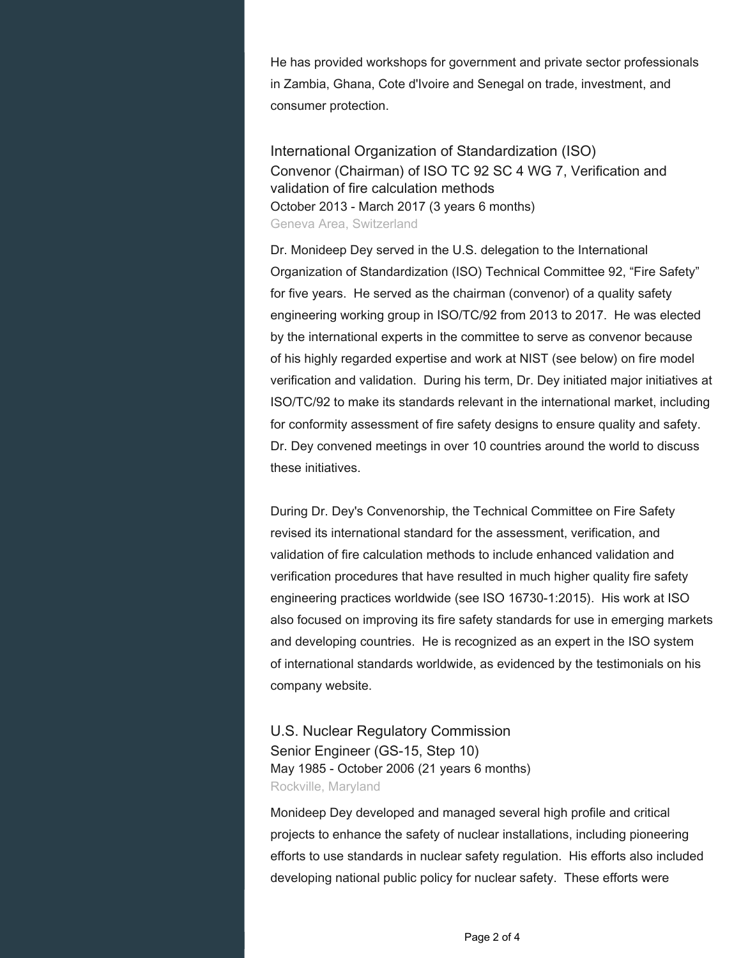He has provided workshops for government and private sector professionals in Zambia, Ghana, Cote d'Ivoire and Senegal on trade, investment, and consumer protection.

International Organization of Standardization (ISO) Convenor (Chairman) of ISO TC 92 SC 4 WG 7, Verification and validation of fire calculation methods October 2013 - March 2017 (3 years 6 months) Geneva Area, Switzerland

Dr. Monideep Dey served in the U.S. delegation to the International Organization of Standardization (ISO) Technical Committee 92, "Fire Safety" for five years. He served as the chairman (convenor) of a quality safety engineering working group in ISO/TC/92 from 2013 to 2017. He was elected by the international experts in the committee to serve as convenor because of his highly regarded expertise and work at NIST (see below) on fire model verification and validation. During his term, Dr. Dey initiated major initiatives at ISO/TC/92 to make its standards relevant in the international market, including for conformity assessment of fire safety designs to ensure quality and safety. Dr. Dey convened meetings in over 10 countries around the world to discuss these initiatives.

During Dr. Dey's Convenorship, the Technical Committee on Fire Safety revised its international standard for the assessment, verification, and validation of fire calculation methods to include enhanced validation and verification procedures that have resulted in much higher quality fire safety engineering practices worldwide (see ISO 16730-1:2015). His work at ISO also focused on improving its fire safety standards for use in emerging markets and developing countries. He is recognized as an expert in the ISO system of international standards worldwide, as evidenced by the testimonials on his company website.

U.S. Nuclear Regulatory Commission Senior Engineer (GS-15, Step 10) May 1985 - October 2006 (21 years 6 months) Rockville, Maryland

Monideep Dey developed and managed several high profile and critical projects to enhance the safety of nuclear installations, including pioneering efforts to use standards in nuclear safety regulation. His efforts also included developing national public policy for nuclear safety. These efforts were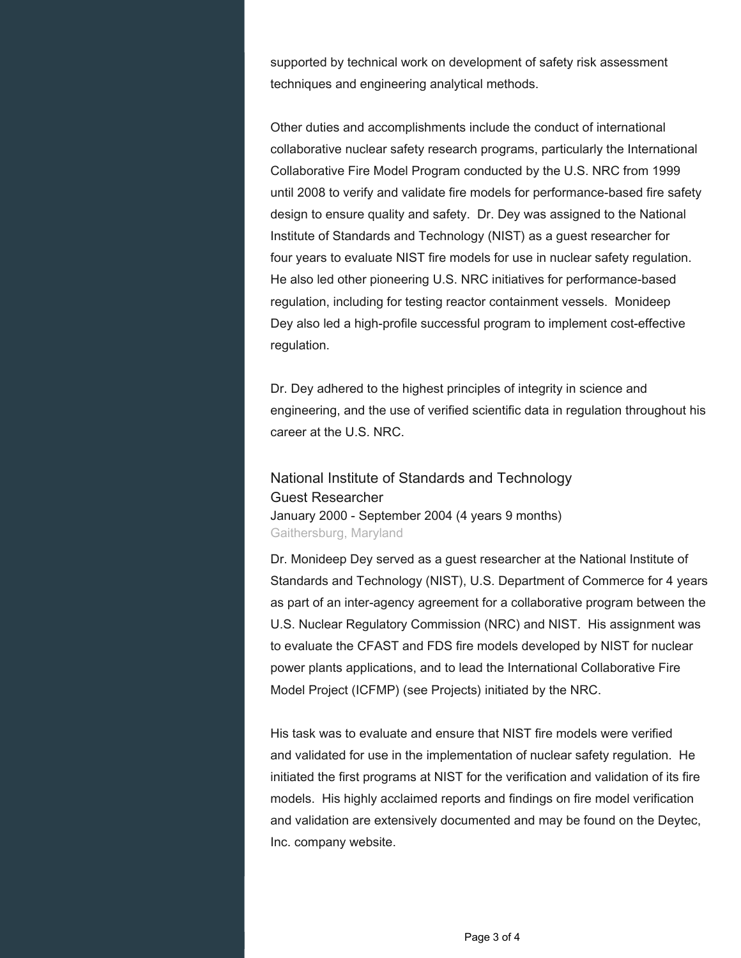supported by technical work on development of safety risk assessment techniques and engineering analytical methods.

Other duties and accomplishments include the conduct of international collaborative nuclear safety research programs, particularly the International Collaborative Fire Model Program conducted by the U.S. NRC from 1999 until 2008 to verify and validate fire models for performance-based fire safety design to ensure quality and safety. Dr. Dey was assigned to the National Institute of Standards and Technology (NIST) as a guest researcher for four years to evaluate NIST fire models for use in nuclear safety regulation. He also led other pioneering U.S. NRC initiatives for performance-based regulation, including for testing reactor containment vessels. Monideep Dey also led a high-profile successful program to implement cost-effective regulation.

Dr. Dey adhered to the highest principles of integrity in science and engineering, and the use of verified scientific data in regulation throughout his career at the U.S. NRC.

National Institute of Standards and Technology Guest Researcher January 2000 - September 2004 (4 years 9 months) Gaithersburg, Maryland

Dr. Monideep Dey served as a guest researcher at the National Institute of Standards and Technology (NIST), U.S. Department of Commerce for 4 years as part of an inter-agency agreement for a collaborative program between the U.S. Nuclear Regulatory Commission (NRC) and NIST. His assignment was to evaluate the CFAST and FDS fire models developed by NIST for nuclear power plants applications, and to lead the International Collaborative Fire Model Project (ICFMP) (see Projects) initiated by the NRC.

His task was to evaluate and ensure that NIST fire models were verified and validated for use in the implementation of nuclear safety regulation. He initiated the first programs at NIST for the verification and validation of its fire models. His highly acclaimed reports and findings on fire model verification and validation are extensively documented and may be found on the Deytec, Inc. company website.